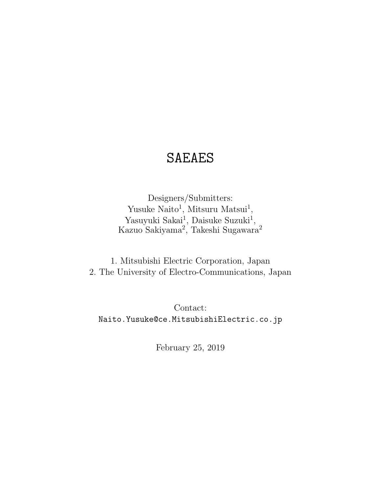# SAEAES

Designers/Submitters: Yusuke Naito<sup>1</sup>, Mitsuru Matsui<sup>1</sup>, Yasuyuki Sakai<sup>1</sup>, Daisuke Suzuki<sup>1</sup>, Kazuo Sakiyama<sup>2</sup>, Takeshi Sugawara<sup>2</sup>

1. Mitsubishi Electric Corporation, Japan 2. The University of Electro-Communications, Japan

Contact: Naito.Yusuke@ce.MitsubishiElectric.co.jp

February 25, 2019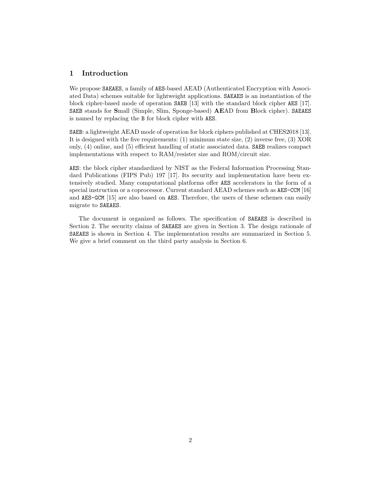# **1 Introduction**

We propose SAEAES, a family of AES-based AEAD (Authenticated Encryption with Associated Data) schemes suitable for lightweight applications. SAEAES is an instantiation of the block cipher-based mode of operation SAEB [13] with the standard block cipher AES [17]. SAEB stands for **S**mall (Simple, Slim, Sponge-based) **AE**AD from **B**lock cipher). SAEAES is named by replacing the B for block cipher with AES.

SAEB: a lightweight AEAD mode of operation for block ciphers published at CHES2018 [13]. It is designed with the five requirements: (1) minimum state size, (2) inverse free, (3) XOR only, (4) online, and (5) efficient handling of static associated data. SAEB realizes compact implementations with respect to RAM/resister size and ROM/circuit size.

AES: the block cipher standardized by NIST as the Federal Information Processing Standard Publications (FIPS Pub) 197 [17]. Its security and implementation have been extensively studied. Many computational platforms offer AES accelerators in the form of a special instruction or a coprocessor. Current standard AEAD schemes such as AES-CCM [16] and AES-GCM [15] are also based on AES. Therefore, the users of these schemes can easily migrate to SAEAES.

The document is organized as follows. The specification of SAEAES is described in Section 2. The security claims of SAEAES are given in Section 3. The design rationale of SAEAES is shown in Section 4. The implementation results are summarized in Section 5. We give a brief comment on the third party analysis in Section 6.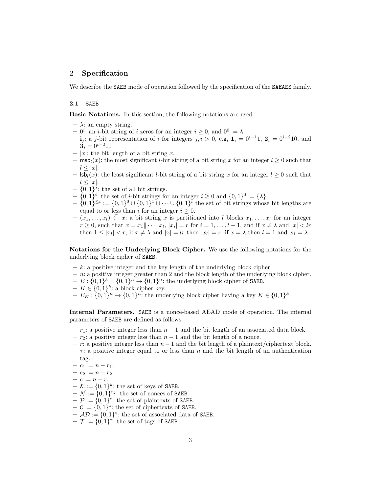# **2 Specification**

We describe the **SAEB** mode of operation followed by the specification of the **SAEAES** family.

# **2.1** SAEB

**Basic Notations.** In this section, the following notations are used.

- $\lambda$ : an empty string.
- $-0^i$ : an *i*-bit string of *i* zeros for an integer  $i \geq 0$ , and  $0^0 := \lambda$ .

 $-$ **i**<sub>j</sub>: a *j*-bit representation of *i* for integers *j, i* > 0, e.g, **1**<sub>*i*</sub> = 0<sup>*i*−1</sup>1, **2**<sub>*i*</sub> = 0<sup>*i*−2</sup>10, and  $3_i = 0^{i-2}11$ 

- $|x|$ : the bit length of a bit string *x*.
- **–** msb*l*(*x*): the most significant *l*-bit string of a bit string *x* for an integer *l ≥* 0 such that  $l \leq |x|$ .
- **–** lsb*l*(*x*): the least significant *l*-bit string of a bit string *x* for an integer *l ≥* 0 such that  $l \leq |x|$ .
- **–** *{*0*,* 1*} ∗* : the set of all bit strings.
- $\{0,1\}^i$ : the set of *i*-bit strings for an integer  $i \geq 0$  and  $\{0,1\}^0 := {\lambda}.$
- $\{0, 1\}^{\leq i} := \{0, 1\}^0 \cup \{0, 1\}^1 \cup \cdots \cup \{0, 1\}^i$  the set of bit strings whose bit lengths are equal to or less than *i* for an integer  $i \geq 0$ .
- $(x_1, \ldots, x_l)$   $\stackrel{r}{\leftarrow} x$ : a bit string *x* is partitioned into *l* blocks  $x_1, \ldots, x_l$  for an integer  $r \geq 0$ , such that  $x = x_1 || \cdots || x_l$ ,  $|x_i| = r$  for  $i = 1, \ldots, l-1$ , and if  $x \neq \lambda$  and  $|x| < lr$ then  $1 \leq |x_l| < r$ ; if  $x \neq \lambda$  and  $|x| = lr$  then  $|x_l| = r$ ; if  $x = \lambda$  then  $l = 1$  and  $x_1 = \lambda$ .

**Notations for the Underlying Block Cipher.** We use the following notations for the underlying block cipher of SAEB.

- **–** *k*: a positive integer and the key length of the underlying block cipher.
- **–** *n*: a positive integer greater than 2 and the block length of the underlying block cipher.
- $-E: \{0,1\}^k \times \{0,1\}^n \to \{0,1\}^n$ : the underlying block cipher of SAEB.
- $− K ∈ {0, 1}<sup>k</sup>:$  a block cipher key.
- $E_K : \{0,1\}^n \to \{0,1\}^n$ : the underlying block cipher having a key  $K \in \{0,1\}^k$ .

**Internal Parameters.** SAEB is a nonce-based AEAD mode of operation. The internal parameters of SAEB are defined as follows.

- **–** *r*1: a positive integer less than *n −* 1 and the bit length of an associated data block.
- **–** *r*2: a positive integer less than *n −* 1 and the bit length of a nonce.
- **–** *r*: a positive integer less than *n −* 1 and the bit length of a plaintext/ciphertext block.
- $-\tau$ : a positive integer equal to or less than *n* and the bit length of an authentication tag.
- $c_1 := n r_1.$
- $c_2 := n r_2.$
- **–** *c* := *n − r*.
- $\mathcal{K} := \{0, 1\}^k$ : the set of keys of **SAEB**.
- $\mathcal{N} := \{0, 1\}^{r_2}$ : the set of nonces of SAEB.
- $\mathcal{P} := \{0,1\}^*$ : the set of plaintexts of **SAEB**.
- $\mathcal{C} := \{0, 1\}^*$ : the set of ciphertexts of SAEB.
- $\mathcal{A}\mathcal{D} := \{0,1\}^*$ : the set of associated data of **SAEB**.
- $\mathcal{T} := \{0,1\}^{\tau}$ : the set of tags of SAEB.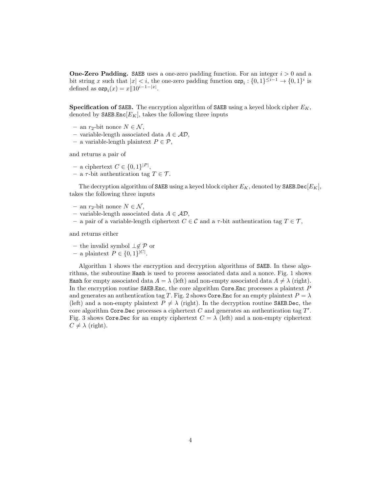**One-Zero Padding.** SAEB uses a one-zero padding function. For an integer *i >* 0 and a bit string *x* such that  $|x| < i$ , the one-zero padding function  $\textsf{ozp}_i : \{0,1\}^{\leq i-1} \to \{0,1\}^i$  is defined as  $\exp_i(x) = x ||10^{i-1-|x|}$ .

**Specification of** SAEB**.** The encryption algorithm of SAEB using a keyed block cipher *EK*, denoted by  $\texttt{SAEB}.\texttt{Enc}[E_K]$ , takes the following three inputs

- **–** an *r*2-bit nonce *N ∈ N* ,
- **–** variable-length associated data *A ∈ AD*,
- **–** a variable-length plaintext *P ∈ P*,

and returns a pair of

- **–** a ciphertext *C ∈ {*0*,* 1*} |P |* ,
- $-$  a  $\tau$ -bit authentication tag  $T \in \mathcal{T}$ .

The decryption algorithm of SAEB using a keyed block cipher *EK*, denoted by SAEB*.*Dec[*EK*], takes the following three inputs

- **–** an *r*2-bit nonce *N ∈ N* ,
- **–** variable-length associated data *A ∈ AD*,
- **–** a pair of a variable-length ciphertext *C ∈ C* and a *τ* -bit authentication tag *T ∈ T* ,

and returns either

- **–** the invalid symbol *⊥̸∈ P* or
- − a plaintext  $P \in \{0, 1\}^{|C|}$ .

Algorithm 1 shows the encryption and decryption algorithms of SAEB. In these algorithms, the subroutine Hash is used to process associated data and a nonce. Fig. 1 shows Hash for empty associated data  $A = \lambda$  (left) and non-empty associated data  $A \neq \lambda$  (right). In the encryption routine SAEB*.*Enc, the core algorithm Core*.*Enc processes a plaintext *P* and generates an authentication tag *T*. Fig. 2 shows Core.Enc for an empty plaintext  $P = \lambda$ (left) and a non-empty plaintext  $P \neq \lambda$  (right). In the decryption routine SAEB.Dec, the core algorithm Core*.*Dec processes a ciphertext *C* and generates an authentication tag *T ′* . Fig. 3 shows Core.Dec for an empty ciphertext  $C = \lambda$  (left) and a non-empty ciphertext  $C \neq \lambda$  (right).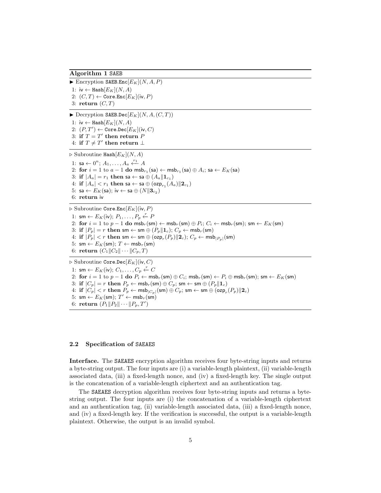#### **Algorithm 1** SAEB

 $\blacktriangleright$  Encryption SAEB.Enc $[E_K](N, A, P)$ 1:  $iv$  ← Hash $[E_K](N, A)$ 2: (*C, T*) *←* Core*.*Enc[*EK*](iv*, P*) 3: **return** (*C, T*)  $\blacktriangleright$  Decryption SAEB.Dec $[E_K](N, A, (C, T))$ 

1: iv *←* Hash[*EK*](*N, A*)  $2: (P, T') \leftarrow \texttt{Core.Dec}[E_K](\textsf{iv}, C)$  $3:$  if  $T = T'$  then return  $P$ 

 $4:$  **if**  $T \neq T'$  **then return** ⊥

*▷* Subroutine Hash[*EK*](*N, A*) 1: sa ←  $0^n$ ;  $A_1, ..., A_a$  ←  $A_1$ 2: **for**  $i = 1$  to  $a - 1$  **do** msb<sub>r1</sub>(sa)  $\leftarrow$  msb<sub>r1</sub>(sa)  $\oplus$   $A_i$ ; sa  $\leftarrow$   $E_K$ (sa) 3: **if**  $|A_a| = r_1$  **then** sa  $\leftarrow$  sa  $\oplus$   $(A_a || \mathbf{1}_{c_1})$  $4:$  **if**  $|A_a| < r_1$  **then** sa ← sa ⊕ (ozp<sub>r1</sub> $(A_a)||2_{c_1}$ ) 5: sa ←  $E_K$ (sa); iv ← sa  $\oplus$   $(N||3_{c_2})$ 6: **return** iv

*▷* Subroutine Core*.*Enc[*EK*](iv*, P*) 1: sm ←  $E_K$ (iv);  $P_1, \ldots, P_p$  ←  $P$ 2: **for**  $i = 1$  to  $p - 1$  **do** msb<sub>r</sub>(sm)  $\leftarrow$  msb<sub>r</sub>(sm)  $\oplus$   $P_i$ ;  $C_i \leftarrow$  msb<sub>r</sub>(sm); sm  $\leftarrow$   $E_K$ (sm) 3: **if**  $|P_p| = r$  **then** sm  $\leftarrow$  sm  $\oplus$   $(P_p||\mathbf{1}_c)$ ;  $C_p \leftarrow \text{msb}_r(\text{sm})$  $4:$  **if**  $|P_p| < r$  **then** sm  $\leftarrow$  sm  $\oplus$  (ozp<sub>r</sub> $(P_p)||2_c);$   $C_p \leftarrow$  msb<sub> $|P_p|$ </sub>(sm) 5:  $\mathsf{sm} \leftarrow E_K(\mathsf{sm})$ ;  $T \leftarrow \mathsf{msb}_\tau(\mathsf{sm})$ 6: **return**  $(C_1 || C_2 || \cdots || C_p, T)$ *▷* Subroutine Core*.*Dec[*EK*](iv*, C*) 1: sm  $\leftarrow$  *E<sub>K</sub>*(iv);  $C_1, \ldots, C_p \leftarrow C$ 2: for  $i = 1$  to  $p - 1$  do  $P_i \leftarrow \text{msb}_r(\text{sm}) \oplus C_i$ ;  $\text{msb}_r(\text{sm}) \leftarrow P_i \oplus \text{msb}_r(\text{sm})$ ;  $\text{sm} \leftarrow E_K(\text{sm})$ 3: **if**  $|C_p| = r$  **then**  $P_p \leftarrow \text{msb}_r(\text{sm}) \oplus C_p$ ; sm  $\leftarrow \text{sm} \oplus (P_p || \mathbf{1}_c)$ 4: if  $|C_p| < r$  then  $P_p \leftarrow \mathsf{msb}_{|C_p|}(\mathsf{sm}) \oplus C_p$ ; sm  $\leftarrow$  sm  $\oplus$  (ozp $_r(P_p) \|\mathbf{2}_c)$ 5:  $\mathsf{sm} \leftarrow E_K(\mathsf{sm})$ ;  $T' \leftarrow \mathsf{msb}_\tau(\mathsf{sm})$  $6:$  **return**  $(P_1 \| P_2 \| \cdots \| P_p, T')$ 

#### **2.2 Specification of** SAEAES

**Interface.** The SAEAES encryption algorithm receives four byte-string inputs and returns a byte-string output. The four inputs are (i) a variable-length plaintext, (ii) variable-length associated data, (iii) a fixed-length nonce, and (iv) a fixed-length key. The single output is the concatenation of a variable-length ciphertext and an authentication tag.

The SAEAES decryption algorithm receives four byte-string inputs and returns a bytestring output. The four inputs are (i) the concatenation of a variable-length ciphertext and an authentication tag, (ii) variable-length associated data, (iii) a fixed-length nonce, and (iv) a fixed-length key. If the verification is successful, the output is a variable-length plaintext. Otherwise, the output is an invalid symbol.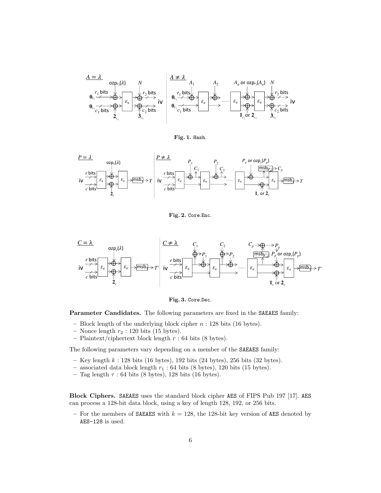

**Fig. 1.** Hash.



**Fig. 2.** Core*.*Enc.



**Fig. 3.** Core*.*Dec.

**Parameter Candidates.** The following parameters are fixed in the SAEAES family:

- **–** Block length of the underlying block cipher *n* : 128 bits (16 bytes).
- **–** Nonce length *r*<sup>2</sup> : 120 bits (15 bytes).
- **–** Plaintext/ciphertext block length *r* : 64 bits (8 bytes).

The following parameters vary depending on a member of the SAEAES family:

- **–** Key length *k* : 128 bits (16 bytes), 192 bits (24 bytes), 256 bits (32 bytes).
- **–** associated data block length *r*<sup>1</sup> : 64 bits (8 bytes), 120 bits (15 bytes).
- **–** Tag length *τ* : 64 bits (8 bytes), 128 bits (16 bytes).

**Block Ciphers.** SAEAES uses the standard block cipher AES of FIPS Pub 197 [17]. AES can process a 128-bit data block, using a key of length 128, 192, or 256 bits.

 $-$  For the members of **SAEAES** with  $k = 128$ , the 128-bit key version of **AES** denoted by AES-128 is used.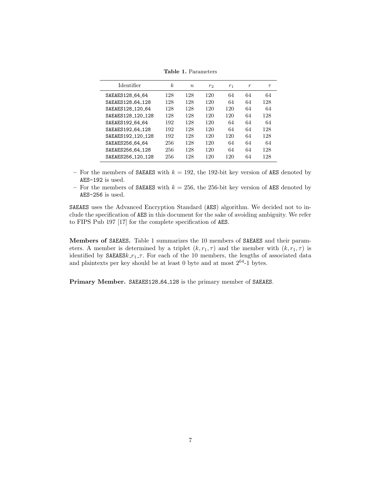| Identifier        | k   | $n_{\rm c}$ | $r_2$ | r <sub>1</sub> | $\boldsymbol{r}$ | $\tau$ |
|-------------------|-----|-------------|-------|----------------|------------------|--------|
| SAEAES128 64 64   | 128 | 128         | 120   | 64             | 64               | 64     |
| SAEAES128 64 128  | 128 | 128         | 120   | 64             | 64               | 128    |
| SAEAES128 120 64  | 128 | 128         | 120   | 120            | 64               | 64     |
| SAEAES128 120 128 | 128 | 128         | 120   | 120            | 64               | 128    |
| SAEAES192 64 64   | 192 | 128         | 120   | 64             | 64               | 64     |
| SAEAES192 64 128  | 192 | 128         | 120   | 64             | 64               | 128    |
| SAEAES192 120 128 | 192 | 128         | 120   | 120            | 64               | 128    |
| SAEAES256 64 64   | 256 | 128         | 120   | 64             | 64               | 64     |
| SAEAES256 64 128  | 256 | 128         | 120   | 64             | 64               | 128    |
| SAEAES256 120 128 | 256 | 128         | 120   | 120            | 64               | 128    |

**Table 1.** Parameters

- **–** For the members of SAEAES with *k* = 192, the 192-bit key version of AES denoted by AES-192 is used.
- **–** For the members of SAEAES with *k* = 256, the 256-bit key version of AES denoted by AES-256 is used.

SAEAES uses the Advanced Encryption Standard (AES) algorithm. We decided not to include the specification of AES in this document for the sake of avoiding ambiguity. We refer to FIPS Pub 197 [17] for the complete specification of AES.

**Members of** SAEAES**.** Table 1 summarizes the 10 members of SAEAES and their parameters. A member is determined by a triplet  $(k, r_1, \tau)$  and the member with  $(k, r_1, \tau)$  is identified by  $SAEAESk_r r_1 \tau$ . For each of the 10 members, the lengths of associated data and plaintexts per key should be at least 0 byte and at most  $2^{64}\text{-}1$  bytes.

Primary Member. SAEAES128<sub>-64-128</sub> is the primary member of SAEAES.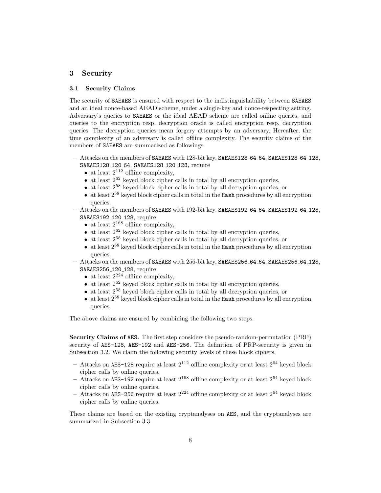# **3 Security**

# **3.1 Security Claims**

The security of SAEAES is ensured with respect to the indistinguishability between SAEAES and an ideal nonce-based AEAD scheme, under a single-key and nonce-respecting setting. Adversary's queries to SAEAES or the ideal AEAD scheme are called online queries, and queries to the encryption resp. decryption oracle is called encryption resp. decryption queries. The decryption queries mean forgery attempts by an adversary. Hereafter, the time complexity of an adversary is called offline complexity. The security claims of the members of SAEAES are summarized as followings.

- **–** Attacks on the members of SAEAES with 128-bit key, SAEAES128 64 64, SAEAES128 64 128, SAEAES128<sub>-120-64</sub>, SAEAES128<sub>-120-128</sub>, require
	- at least  $2^{112}$  offline complexity,
	- at least  $2^{62}$  keyed block cipher calls in total by all encryption queries,
	- at least  $2^{58}$  keyed block cipher calls in total by all decryption queries, or
	- at least  $2^{58}$  keyed block cipher calls in total in the Hash procedures by all encryption queries.
- **–** Attacks on the members of SAEAES with 192-bit key, SAEAES192 64 64, SAEAES192 64 128, SAEAES192 120 128, require
	- at least  $2^{168}$  offline complexity,
	- at least  $2^{62}$  keyed block cipher calls in total by all encryption queries,
	- at least  $2^{58}$  keyed block cipher calls in total by all decryption queries, or
	- at least  $2^{58}$  keyed block cipher calls in total in the Hash procedures by all encryption queries.
- **–** Attacks on the members of SAEAES with 256-bit key, SAEAES256 64 64, SAEAES256 64 128, SAEAES256 120 128, require
	- at least  $2^{224}$  offline complexity,
	- at least  $2^{62}$  keyed block cipher calls in total by all encryption queries,
	- at least  $2^{58}$  keyed block cipher calls in total by all decryption queries, or
	- at least  $2^{58}$  keyed block cipher calls in total in the Hash procedures by all encryption queries.

The above claims are ensured by combining the following two steps.

**Security Claims of** AES**.** The first step considers the pseudo-random-permutation (PRP) security of AES-128, AES-192 and AES-256. The definition of PRP-security is given in Subsection 3.2. We claim the following security levels of these block ciphers.

- $-$  Attacks on AES-128 require at least  $2^{112}$  offline complexity or at least  $2^{64}$  keyed block cipher calls by online queries.
- **–** Attacks on AES-192 require at least 2<sup>168</sup> offline complexity or at least 2<sup>64</sup> keyed block cipher calls by online queries.
- $-$  Attacks on AES-256 require at least  $2^{224}$  offline complexity or at least  $2^{64}$  keyed block cipher calls by online queries.

These claims are based on the existing cryptanalyses on AES, and the cryptanalyses are summarized in Subsection 3.3.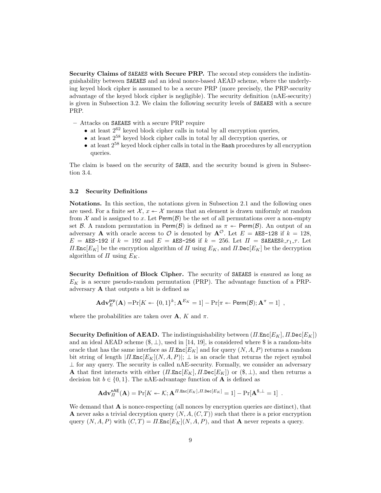**Security Claims of** SAEAES **with Secure PRP.** The second step considers the indistinguishability between SAEAES and an ideal nonce-based AEAD scheme, where the underlying keyed block cipher is assumed to be a secure PRP (more precisely, the PRP-security advantage of the keyed block cipher is negligible). The security definition (nAE-security) is given in Subsection 3.2. We claim the following security levels of SAEAES with a secure PRP.

**–** Attacks on SAEAES with a secure PRP require

- at least  $2^{62}$  keyed block cipher calls in total by all encryption queries,
- at least  $2^{58}$  keyed block cipher calls in total by all decryption queries, or
- at least  $2^{58}$  keyed block cipher calls in total in the Hash procedures by all encryption queries.

The claim is based on the security of SAEB, and the security bound is given in Subsection 3.4.

# **3.2 Security Definitions**

**Notations.** In this section, the notations given in Subsection 2.1 and the following ones are used. For a finite set  $\mathcal{X}, x \leftarrow \mathcal{X}$  means that an element is drawn uniformly at random from  $\mathcal X$  and is assigned to x. Let  $\text{Perm}(\mathcal B)$  be the set of all permutations over a non-empty set *B*. A random permutation in Perm(*B*) is defined as  $\pi \leftarrow \text{Perm}(B)$ . An output of an adversary **A** with oracle access to  $\mathcal{O}$  is denoted by  $\mathbf{A}^{\mathcal{O}}$ . Let  $E = \mathbf{AES-128}$  if  $k = 128$ ,  $E = \text{AES-192}$  if  $k = 192$  and  $E = \text{AES-256}$  if  $k = 256$ . Let  $\Pi = \text{SAEAES}.r_{1}$ ,  $\tau$ . Let *Π.***Enc**[*E<sub>K</sub>*] be the encryption algorithm of *Π* using  $E_K$ , and *Π.*Dec[*E<sub>K</sub>*] be the decryption algorithm of  $\Pi$  using  $E_K$ .

**Security Definition of Block Cipher.** The security of SAEAES is ensured as long as *E<sup>K</sup>* is a secure pseudo-random permutation (PRP). The advantage function of a PRPadversary **A** that outputs a bit is defined as

$$
\mathbf{Adv}_{E}^{\mathsf{prp}}(\mathbf{A}) = \Pr[K \leftarrow \{0, 1\}^{k}; \mathbf{A}^{E_{K}} = 1] - \Pr[\pi \leftarrow \mathsf{Perm}(\mathcal{B}); \mathbf{A}^{\pi} = 1],
$$

where the probabilities are taken over  $\mathbf{A}$ ,  $K$  and  $\pi$ .

**Security Definition of AEAD.** The indistinguishability between (*Π.*Enc[*EK*]*, Π.*Dec[*EK*]) and an ideal AEAD scheme  $(\$, \_\),$  used in [14, 19], is considered where  $\$$  is a random-bits oracle that has the same interface as  $\Pi$ . Enc $[E_K]$  and for query  $(N, A, P)$  returns a random bit string of length  $|I\text{I}.\text{Enc}[E_K](N, A, P)|$ ;  $\perp$  is an oracle that returns the reject symbol *⊥* for any query. The security is called nAE-security. Formally, we consider an adversary **A** that first interacts with either  $(II.\text{Enc}[E_K], II.\text{Dec}[E_K])$  or  $(\$, \bot)$ , and then returns a decision bit  $b \in \{0, 1\}$ . The nAE-advantage function of **A** is defined as

$$
\mathbf{Adv}_{\Pi}^{\mathsf{nAE}}(\mathbf{A}) = \Pr[K \leftarrow \mathcal{K}; \mathbf{A}^{\Pi.\mathtt{Enc}[E_K],\Pi.\mathtt{Dec}[E_K]} = 1] - \Pr[\mathbf{A}^{\$,\perp} = 1] .
$$

We demand that **A** is nonce-respecting (all nonces by encryption queries are distinct), that **A** never asks a trivial decryption query (*N, A,*(*C, T*)) such that there is a prior encryption query  $(N, A, P)$  with  $(C, T) = \Pi \text{Enc}[E_K](N, A, P)$ , and that **A** never repeats a query.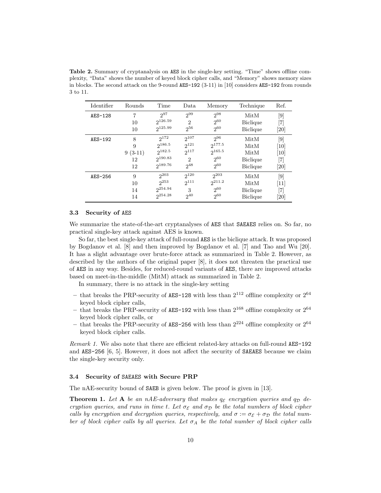**Table 2.** Summary of cryptanalysis on AES in the single-key setting. "Time" shows offline complexity, "Data" shows the number of keyed block cipher calls, and "Memory" shows memory sizes in blocks. The second attack on the 9-round AES-192 (3-11) in [10] considers AES-192 from rounds 3 to 11.

| Identifier | Rounds    | Time         | Data                        | Memory      | Technique       | Ref.                          |
|------------|-----------|--------------|-----------------------------|-------------|-----------------|-------------------------------|
| $AES-128$  | 7         | $2^{97}$     | 299                         | $2^{98}$    | MitM            | [9]                           |
|            | 10        | 2126.59      | $\mathcal{D}_{\mathcal{L}}$ | $2^{60}$    | <b>Biclique</b> | [7]                           |
|            | 10        | 2125.99      | $2^{56}$                    | $2^{60}$    | <b>Biclique</b> | [20]                          |
| AES-192    | 8         | $2^{172}$    | $2^{107}$                   | $2^{96}$    | MitM            | [9]                           |
|            | 9         | $2^{186.5}$  | $2^{121}$                   | $2^{177.5}$ | MitM            | $\left\lceil 10 \right\rceil$ |
|            | $9(3-11)$ | 2182.5       | $2^{117}$                   | $2^{165.5}$ | MitM            | $\left\lceil 10 \right\rceil$ |
|            | 12        | $2^{190.83}$ | $\mathcal{D}_{\mathcal{L}}$ | $2^{60}$    | <b>Biclique</b> | [7]                           |
|            | 12        | $2^{189.76}$ | $2^{48}$                    | $2^{60}$    | <b>Biclique</b> | <b>20</b>                     |
| $AES-256$  | 9         | $2^{203}$    | $2^{120}$                   | $2^{203}$   | MitM            | [9]                           |
|            | 10        | $2^{253}$    | $2^{111}$                   | $2^{211.2}$ | MitM            | $[11]$                        |
|            | 14        | $2^{254.94}$ | 3                           | $2^{60}$    | <b>Biclique</b> | [7]                           |
|            | 14        | $2^{254.28}$ | $2^{40}$                    | $2^{60}$    | <b>Biclique</b> | [20]                          |

# **3.3 Security of** AES

We summarize the state-of-the-art cryptanalyses of AES that SAEAES relies on. So far, no practical single-key attack against AES is known.

So far, the best single-key attack of full-round AES is the biclique attack. It was proposed by Bogdanov et al. [8] and then improved by Bogdanov et al. [7] and Tao and Wu [20]. It has a slight advantage over brute-force attack as summarized in Table 2. However, as described by the authors of the original paper [8], it does not threaten the practical use of AES in any way. Besides, for reduced-round variants of AES, there are improved attacks based on meet-in-the-middle (MitM) attack as summarized in Table 2.

In summary, there is no attack in the single-key setting

- that breaks the PRP-security of AES-128 with less than  $2^{112}$  offline complexity or  $2^{64}$ keyed block cipher calls,
- **–** that breaks the PRP-security of AES-192 with less than 2<sup>168</sup> offline complexity or 2<sup>64</sup> keyed block cipher calls, or
- **–** that breaks the PRP-security of AES-256 with less than 2<sup>224</sup> offline complexity or 2<sup>64</sup> keyed block cipher calls.

*Remark 1.* We also note that there are efficient related-key attacks on full-round AES-192 and AES-256 [6, 5]. However, it does not affect the security of SAEAES because we claim the single-key security only.

#### **3.4 Security of** SAEAES **with Secure PRP**

The nAE-security bound of SAEB is given below. The proof is given in [13].

**Theorem 1.** Let **A** be an nAE-adversary that makes  $q_{\mathcal{E}}$  encryption queries and  $q_{\mathcal{D}}$  de*cryption queries, and runs in time t. Let σ<sup>E</sup> and σ<sup>D</sup> be the total numbers of block cipher calls by encryption and decryption queries, respectively, and*  $\sigma := \sigma_{\mathcal{E}} + \sigma_{\mathcal{D}}$  *the total number of block cipher calls by all queries. Let*  $\sigma_A$  *be the total number of block cipher calls*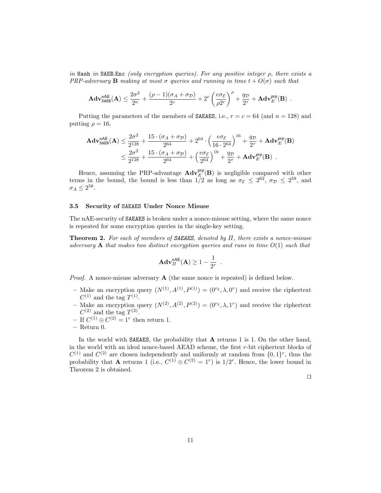*in* Hash *in* SAEB*.*Enc *(only encryption queries). For any positive integer ρ, there exists a PRP-adversary* **B** *making at most*  $\sigma$  *queries and running in time*  $t + O(\sigma)$  *such that* 

$$
\mathbf{Adv}_{\mathtt{SAEB}}^{\mathtt{nAE}}(\mathbf{A}) \leq \frac{2\sigma^2}{2^n} + \frac{(\rho-1)(\sigma_A+\sigma_\mathcal{D})}{2^c} + 2^r \left(\frac{e\sigma_\mathcal{E}}{\rho 2^r}\right)^\rho + \frac{q_\mathcal{D}}{2^\tau} + \mathbf{Adv}^{\mathtt{prp}}_E(\mathbf{B})\enspace.
$$

Putting the parameters of the members of **SAEAES**, i.e.,  $r = c = 64$  (and  $n = 128$ ) and putting  $\rho = 16$ ,

$$
\begin{aligned} \mathbf{Adv}_{\mathtt{SAEB}}^{\mathtt{nAE}}(\mathbf{A}) & \leq \frac{2\sigma^2}{2^{128}} + \frac{15\cdot(\sigma_A + \sigma_\mathcal{D})}{2^{64}} + 2^{64}\cdot\Big(\frac{e\sigma_\mathcal{E}}{16\cdot 2^{64}}\Big)^{16} + \frac{q_\mathcal{D}}{2^\tau} + \mathbf{Adv}^{\mathsf{prp}}_E(\mathbf{B}) \\ & \leq \frac{2\sigma^2}{2^{128}} + \frac{15\cdot(\sigma_A + \sigma_\mathcal{D})}{2^{64}} + \Big(\frac{e\sigma_\mathcal{E}}{2^{64}}\Big)^{16} + \frac{q_\mathcal{D}}{2^\tau} + \mathbf{Adv}^{\mathsf{prp}}_E(\mathbf{B}) \enspace. \end{aligned}
$$

Hence, assuming the PRP-advantage  $\mathbf{Adv}_{E}^{\mathsf{prp}}(\mathbf{B})$  is negligible compared with other terms in the bound, the bound is less than  $1/2$  as long as  $\sigma_{\mathcal{E}} \leq 2^{62}$ ,  $\sigma_{\mathcal{D}} \leq 2^{58}$ , and  $\sigma_A \leq 2^{58}$ .

# **3.5 Security of** SAEAES **Under Nonce Misuse**

The nAE-security of SAEAES is broken under a nonce-misuse setting, where the same nonce is repeated for some encryption queries in the single-key setting.

**Theorem 2.** *For each of members of SAEAES, denoted by Π, there exists a nonce-misuse adversary* **A** *that makes two distinct encryption queries and runs in time O*(1) *such that*

$$
\mathbf{Adv}^{\mathsf{nAE}}_H(\mathbf{A}) \ge 1 - \frac{1}{2^r}
$$

*.*

*Proof.* A nonce-misuse adversary **A** (the same nonce is repeated) is defined below.

- $-$  Make an encryption query  $(N^{(1)}, A^{(1)}, P^{(1)}) = (0^{r_2}, \lambda, 0^r)$  and receive the ciphertext  $C^{(1)}$  and the tag  $T^{(1)}$ .
- Make an encryption query  $(N^{(2)}, A^{(2)}, P^{(2)}) = (0^{r_2}, \lambda, 1^r)$  and receive the ciphertext  $C^{(2)}$  and the tag  $T^{(2)}$ .
- $-$  If  $C^{(1)}$  ⊕  $C^{(2)} = 1^r$  then return 1.
- **–** Return 0.

In the world with SAEAES, the probability that **A** returns 1 is 1. On the other hand, in the world with an ideal nonce-based AEAD scheme, the first *r*-bit ciphertext blocks of  $C^{(1)}$  and  $C^{(2)}$  are chosen independently and uniformly at random from  $\{0,1\}^r$ , thus the probability that **A** returns 1 (i.e.,  $C^{(1)} \oplus C^{(2)} = 1^r$ ) is  $1/2^r$ . Hence, the lower bound in Theorem 2 is obtained.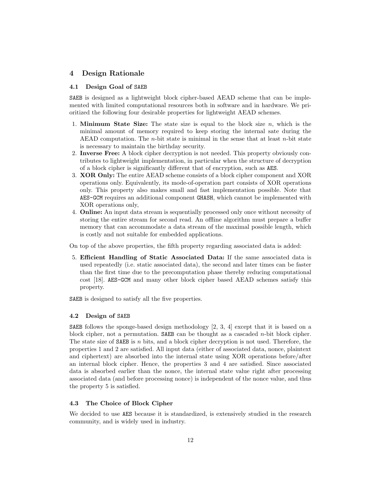# **4 Design Rationale**

# **4.1 Design Goal of** SAEB

SAEB is designed as a lightweight block cipher-based AEAD scheme that can be implemented with limited computational resources both in software and in hardware. We prioritized the following four desirable properties for lightweight AEAD schemes.

- 1. **Minimum State Size:** The state size is equal to the block size *n*, which is the minimal amount of memory required to keep storing the internal sate during the AEAD computation. The *n*-bit state is minimal in the sense that at least *n*-bit state is necessary to maintain the birthday security.
- 2. **Inverse Free:** A block cipher decryption is not needed. This property obviously contributes to lightweight implementation, in particular when the structure of decryption of a block cipher is significantly different that of encryption, such as AES.
- 3. **XOR Only:** The entire AEAD scheme consists of a block cipher component and XOR operations only. Equivalently, its mode-of-operation part consists of XOR operations only. This property also makes small and fast implementation possible. Note that AES-GCM requires an additional component GHASH, which cannot be implemented with XOR operations only,
- 4. **Online:** An input data stream is sequentially processed only once without necessity of storing the entire stream for second read. An offline algorithm must prepare a buffer memory that can accommodate a data stream of the maximal possible length, which is costly and not suitable for embedded applications.

On top of the above properties, the fifth property regarding associated data is added:

5. **Efficient Handling of Static Associated Data:** If the same associated data is used repeatedly (i.e. static associated data), the second and later times can be faster than the first time due to the precomputation phase thereby reducing computational cost [18]. AES-GCM and many other block cipher based AEAD schemes satisfy this property.

SAEB is designed to satisfy all the five properties.

#### **4.2 Design of** SAEB

**SAEB** follows the sponge-based design methodology  $[2, 3, 4]$  except that it is based on a block cipher, not a permutation. SAEB can be thought as a cascaded *n*-bit block cipher. The state size of SAEB is *n* bits, and a block cipher decryption is not used. Therefore, the properties 1 and 2 are satisfied. All input data (either of associated data, nonce, plaintext and ciphertext) are absorbed into the internal state using XOR operations before/after an internal block cipher. Hence, the properties 3 and 4 are satisfied. Since associated data is absorbed earlier than the nonce, the internal state value right after processing associated data (and before processing nonce) is independent of the nonce value, and thus the property 5 is satisfied.

#### **4.3 The Choice of Block Cipher**

We decided to use AES because it is standardized, is extensively studied in the research community, and is widely used in industry.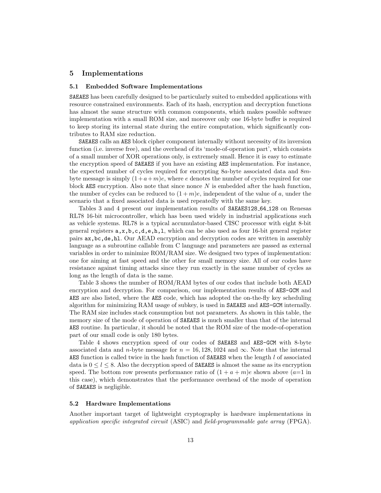# **5 Implementations**

# **5.1 Embedded Software Implementations**

SAEAES has been carefully designed to be particularly suited to embedded applications with resource constrained environments. Each of its hash, encryption and decryption functions has almost the same structure with common components, which makes possible software implementation with a small ROM size, and moreover only one 16-byte buffer is required to keep storing its internal state during the entire computation, which significantly contributes to RAM size reduction.

SAEAES calls an AES block cipher component internally without necessity of its inversion function (i.e. inverse free), and the overhead of its 'mode-of-operation part', which consists of a small number of XOR operations only, is extremely small. Hence it is easy to estimate the encryption speed of SAEAES if you have an existing AES implementation. For instance, the expected number of cycles required for encrypting 8*a*-byte associated data and 8*m*byte message is simply  $(1+a+m)e$ , where *e* denotes the number of cycles required for one block AES encryption. Also note that since nonce *N* is embedded after the hash function, the number of cycles can be reduced to  $(1+m)e$ , independent of the value of a, under the scenario that a fixed associated data is used repeatedly with the same key.

Tables 3 and 4 present our implementation results of SAEAES128 64 128 on Renesas RL78 16-bit microcontroller, which has been used widely in industrial applications such as vehicle systems. RL78 is a typical accumulator-based CISC processor with eight 8-bit general registers  $a, x, b, c, d, e, h, 1$ , which can be also used as four 16-bit general register pairs ax,bc,de,hl. Our AEAD encryption and decryption codes are written in assembly language as a subroutine callable from C language and parameters are passed as external variables in order to minimize ROM/RAM size. We designed two types of implementation: one for aiming at fast speed and the other for small memory size. All of our codes have resistance against timing attacks since they run exactly in the same number of cycles as long as the length of data is the same.

Table 3 shows the number of ROM/RAM bytes of our codes that include both AEAD encryption and decryption. For comparison, our implementation results of AES-GCM and AES are also listed, where the AES code, which has adopted the on-the-fly key scheduling algorithm for minimizing RAM usage of subkey, is used in SAEAES and AES-GCM internally. The RAM size includes stack consumption but not parameters. As shown in this table, the memory size of the mode of operation of SAEAES is much smaller than that of the internal AES routine. In particular, it should be noted that the ROM size of the mode-of-operation part of our small code is only 180 bytes.

Table 4 shows encryption speed of our codes of SAEAES and AES-GCM with 8-byte associated data and *n*-byte message for  $n = 16,128,1024$  and  $\infty$ . Note that the internal AES function is called twice in the hash function of SAEAES when the length *l* of associated data is  $0 \leq l \leq 8$ . Also the decryption speed of **SAEAES** is almost the same as its encryption speed. The bottom row presents performance ratio of  $(1 + a + m)e$  shown above  $(a=1$  in this case), which demonstrates that the performance overhead of the mode of operation of SAEAES is negligible.

# **5.2 Hardware Implementations**

Another important target of lightweight cryptography is hardware implementations in *application specific integrated circuit* (ASIC) and *field-programmable gate array* (FPGA).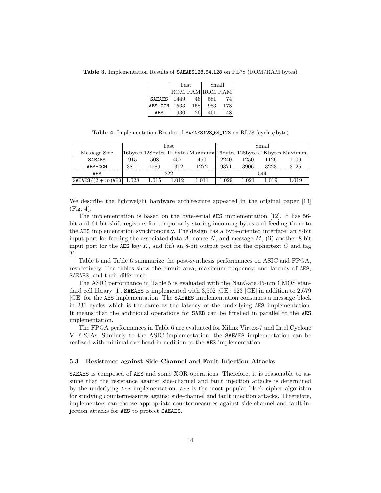**Table 3.** Implementation Results of SAEAES128 64 128 on RL78 (ROM/RAM bytes)

|               |      | Fast            | Small |     |  |
|---------------|------|-----------------|-------|-----|--|
|               |      | ROM RAM ROM RAM |       |     |  |
| <b>SAEAES</b> | 1449 | 46              | 581   |     |  |
| AES-GCM       | 1533 | 158             | 983   | 178 |  |
| AF.S          | 930  | 26              | 401   |     |  |

**Table 4.** Implementation Results of SAEAES128 64 128 on RL78 (cycles/byte)

|                           | Fast |       |       | Small     |       |           |       |                                                                   |
|---------------------------|------|-------|-------|-----------|-------|-----------|-------|-------------------------------------------------------------------|
| Message Size              |      |       |       |           |       |           |       | 16bytes 128bytes 1Kbytes Maximum 16bytes 128bytes 1Kbytes Maximum |
| SAEAES                    | 915  | 508   | 457   | 450       | 2240  | 1250      | 1126  | 1109                                                              |
| AES-GCM                   | 3811 | 1589  | 1312  | 1272      | 9371  | 3906      | 3223  | 3125                                                              |
| AES                       |      |       | 222   |           |       |           | 544   |                                                                   |
| $ SAEAES/(2+m)AES  1.028$ |      | 1.015 | 1.012 | $1.011\,$ | 1.029 | $1.021\,$ | 1.019 | 1.019                                                             |

We describe the lightweight hardware architecture appeared in the original paper [13] (Fig. 4).

The implementation is based on the byte-serial AES implementation [12]. It has 56 bit and 64-bit shift registers for temporarily storing incoming bytes and feeding them to the AES implementation synchronously. The design has a byte-oriented interface: an 8-bit input port for feeding the associated data *A*, nonce *N*, and message *M*, (ii) another 8-bit input port for the AES key  $K$ , and (iii) an 8-bit output port for the ciphertext  $C$  and tag *T*.

Table 5 and Table 6 summarize the post-synthesis performances on ASIC and FPGA, respectively. The tables show the circuit area, maximum frequency, and latency of AES, SAEAES, and their difference.

The ASIC performance in Table 5 is evaluated with the NanGate 45-nm CMOS standard cell library [1]. SAEAES is implemented with 3,502 [GE]: 823 [GE] in addition to 2,679 [GE] for the AES implementation. The SAEAES implementation consumes a message block in 231 cycles which is the same as the latency of the underlying AES implementation. It means that the additional operations for SAEB can be finished in parallel to the AES implementation.

The FPGA performances in Table 6 are evaluated for Xilinx Virtex-7 and Intel Cyclone V FPGAs. Similarly to the ASIC implementation, the SAEAES implementation can be realized with minimal overhead in addition to the AES implementation.

#### **5.3 Resistance against Side-Channel and Fault Injection Attacks**

SAEAES is composed of AES and some XOR operations. Therefore, it is reasonable to assume that the resistance against side-channel and fault injection attacks is determined by the underlying AES implementation. AES is the most popular block cipher algorithm for studying countermeasures against side-channel and fault injection attacks. Threrefore, implementers can choose appropriate countermeasures against side-channel and fault injection attacks for AES to protect SAEAES.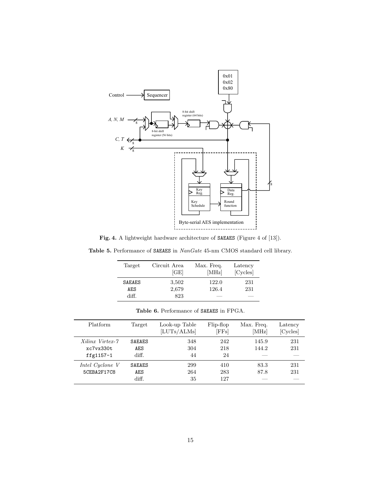

Fig. 4. A lightweight hardware architecture of SAEAES (Figure 4 of [13]).

**Table 5.** Performance of SAEAES in *NanGate* 45-nm CMOS standard cell library.

| Target        | Circuit Area<br>[GE] | Max. Freq.<br>[MHz] | Latency<br>[Cycles] |
|---------------|----------------------|---------------------|---------------------|
| <b>SAEAES</b> | 3,502                | 122.0               | 231                 |
| AES           | 2,679                | 126.4               | 231                 |
| diff.         | 823                  |                     |                     |

| Platform                                     | Target                               | Look-up Table<br>[LUTs/ALMs] | Flip-flop<br>[FFs] | Max. Freq.<br>[MHz] | Latency<br>[Cycles] |
|----------------------------------------------|--------------------------------------|------------------------------|--------------------|---------------------|---------------------|
| Xilinx Virtex-7<br>xc7vx330t<br>ffg $1157-1$ | <b>SAEAES</b><br><b>AES</b><br>diff. | 348<br>304<br>44             | 242<br>218<br>24   | 145.9<br>144.2      | 231<br>231          |
| Intel Cyclone V<br>5CEBA2F17C8               | <b>SAEAES</b><br>AES<br>diff.        | 299<br>264<br>35             | 410<br>283<br>127  | 83.3<br>87.8        | 231<br>231          |

**Table 6.** Performance of SAEAES in FPGA.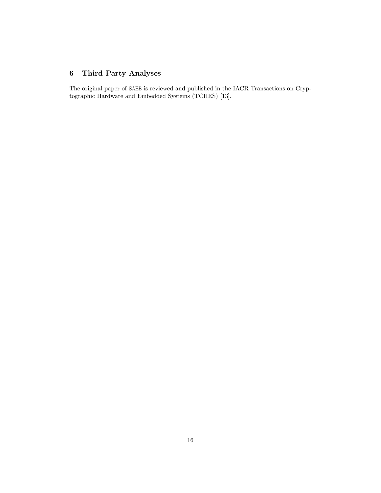# **6 Third Party Analyses**

The original paper of SAEB is reviewed and published in the IACR Transactions on Cryptographic Hardware and Embedded Systems (TCHES) [13].